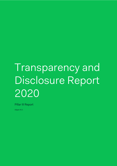# Transparency and Disclosure Report 2020

Pillar III Report

Adyen N.V.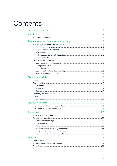# Contents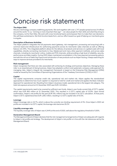# Concise risk statement

#### **The Adyen DNA**

We are a technology company redefining payments. We work together with over 1,747 people spread across 24 offices around the world. To us, "winning is more important than ego" – we value people for their skills and what they bring to the company, not for their titles. We work with cross-functional teams and empower them to make their own decisions. We call these workstreams. We think function beats form, and our effort toward our goal of helping our merchants grow is singular.

#### **Description of Business Activities**

The Adyen platform integrates the full payments stack (gateway, risk management, processing and acquiring) with a common back-end infrastructure for authorizing payments across its merchants' sales channels as well as offering feature-rich APIs. This integrated platform allows for the delivery of products and services on a global scale with local capabilities, directly connecting merchants to Visa, Mastercard and many other payment methods, and across sales channels, including its merchants' online, mobile and POS channels, while providing a high level of reliability, security, performance and data insights. During 2020 Adyen maintained consolidation in the many payment processing options, and with the roll out of Sales Day Payout and introduction of new products such as Adyen Issuing, it keeps searching for ways to improve services provided to its merchants.

#### **Risk management**

Adyen recognizes that there are risks associated with achieving its strategy and business objectives. Managing these risks<sup>1</sup> is an essential part of doing business. Adyen has adopted a uniform and systematic company-wide approach for managing risks. Adyen's integral risk management framework is based on the Enterprise Risk Management (ERM) model as issued by the Committee of Sponsoring Organizations of the Treadway Commission (COSO) in 2017.

#### **Capital**

The capital requirements comprise credit risk, operational risk and market risk. Adyen applies the standardized approaches to determine how much capital it is required to hold for credit and market and applies the Basic Indicator Approach for operational risk. Resulting from Adyen's business model, operational risk is the largest risk category. The total risk exposure amount at 31 December 2020 was EUR 2.44 billion.

The capital requirements need to be covered by sufficient own funds. Adyen's own funds consist fully of CET1 capital, which was EUR 800 million at 31 December 2020. This resulted in a CET1 capital ratio of 32.8%. Upon formal confirmation, Adyen's net profits for the year (EUR 261 million) may be included in its CET1 calculation. At that point, Adyen's CET1 capital becomes EUR 1,061 million, resulting in a CET1 capital ratio of 43.5%.

#### **Leverage**

Adyen's leverage ratio is 19.7%, which is above the currently non-binding requirement of 3%. Once Adyen's 2020 net profits are included in its CET1 capital, the leverage ratio becomes 26.2%

#### **Liquidity coverage ratio**

The liquidity coverage ratio of Adyen was 4,344% at the end of 2020, well above the regulatory threshold of 100%.

#### **Declaration Management Board**

The Management Board of Adyen declares that the risk management arrangements of Adyen are adequate with regards to Adyen's risk profile and strategy. The development of Adyen's risk profile is in line with the risk tolerances set by the Management Board.

<sup>1</sup> Art. 435(1)(e)(f) CRR.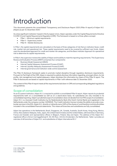# Introduction

This document presents the consolidated Transparency and Disclosure Report 2020 (Pillar III report) of Adyen N.V. (Adyen) as per 31 December 2020. 2

As a less significant institution<sup>3</sup> based in the European Union, Adyen operates under the Capital Requirements Directive IV (CRD IV) and Capital Requirements Regulation (CRR). This framework is based on a three-pillars concept:

- Pillar I Minimum capital requirements
- Pillar II Supervisory review
- Pillar III Market disclosures

In Pillar I, the capital requirements are calculated on the basis of three categories of risk that an institution faces: credit risk, market risk and operational risk. These capital requirements need to be covered by sufficient own funds. Adyen uses the standardized approach for credit and market risk categories, and the Basic Indicator Approach for operational risk to determine its capital requirements.

In Pillar II, the supervisor reviews the viability of Adyen and its ability to meet the reporting requirements. This Supervisory Review and Evaluation Process (SREP) comprises four components:

- Business Model Assessment (BMA)
- Internal Capital Adequacy Assessment Process (ICAAP)
- Internal Liquidity Adequacy Assessment Process (ILAAP)
- Internal governance and institution-wide control assessment

The Pillar III disclosure framework seeks to promote market discipline through regulatory disclosure requirements. Pursuant to Part Eight of the CRR, Adyen is required to publicly disclose information regarding, amongst others, its risk profile, risk management and capital adequacy. Adyen discloses this information by means of this Pillar III report. The Pillar III disclosures are based on capital requirements in Pillar I with reference date 31 December 2020.

The content of this Pillar III report meets all the requirements laid down in CRR and corresponding delegated regulations and guidelines.

# Scope of consolidation

As an EU parent institution, Adyen N.V. is required to publish a consolidated Pillar III report. Adyen reports its prudential requirements both on a consolidated as well as on a stand-alone basis. Its subsidiaries are only included in its consolidated reporting. Adyen's prudential scope of consolidation does not deviate from its IFRS scope of consolidation. Adyen N.V. is a licensed Credit Institution by De Nederlandsche Bank (the Dutch Central Bank) and registered in the Netherlands under the company number 34259528. The Credit Institution license includes the ability to provide crossborder services in the EEA. Adyen N.V. directly or indirectly owns 100% of the shares of, and therefore controls all entities included in the consolidated financial statements. This means all branches and subsidiaries are fully consolidated.

Adyen has operations in the Netherlands, Brazil, Singapore, UK, Canada, Australia, South Korea, Hong Kong, Mexico, China, New Zealand, Malaysia, India, Japan, the United Arab Emirates and the United States, with branches in Germany, France and Sweden and representative offices in Belgium, Poland, Italy and Spain. The address of the Adyen N.V. registered office is Simon Carmiggeltstraat 6 -50, 5th floor, 1011DJ Amsterdam, the Netherlands. Table 1 provides an overview of all branches of Adyen N.V. and subsidiaries of Adyen International B.V.4

<sup>2</sup> Art. 436(a) CRR.

<sup>3</sup> Art. 441 CRR. 4 Art. 436(b) CRR.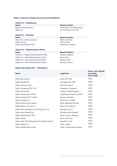#### **Table 1: Overview of Adyen's branches and subsidiaries**

#### **Adyen N.V. - Subsidiaries**

**Name Branch location** Adyen Inc. **San Francisco, CA, USA** 

### **Adyen N.V. - Branches**

Adyen N.V., German branch Berlin, Germany Adyen France **Paris, France** Paris, France Adyen Nordic Bank Fillial Stockholm, Sweden

#### **Adyen N.V. – Representative offices Name Branch location**

Adyen N.V., Belgian Representative Office Brussels, Belgium Adyen N.V., Italian Representative Office Rome, Italy Adyen N.V., Spain Representative Office Madrid, Spain Adyen N.V., Polish Representative Office Warsaw, Poland

Adyen International B.V. Amsterdam, The Netherlands

#### **Name Branch location**

#### **Adyen International B.V. - Subsidiaries**

| <b>Name</b>                                     | <b>Legal Seat</b>           | pirect and multect<br>ownership<br>percentage |
|-------------------------------------------------|-----------------------------|-----------------------------------------------|
| Adyen Services Inc.                             | Dover, DE, USA              | 100%                                          |
| Adyen Nevada Inc.                               | Las Vegas, NV, USA          | 100%                                          |
| Adyen do Brasil Ltda                            | São Paulo, Brazil           | 100%                                          |
| Adyen Singapore PTE. LTD.                       | Singapore, Singapore        | 100%                                          |
| Adyen UK Limited                                | London, United Kingdom      | 100%                                          |
| Adyen Hong Kong Limited                         | Hong Kong, Hong Kong SAR    | 100%                                          |
| Adyen Australia PTY Limited                     | Sydney, Australia           | 100%                                          |
| Adyen Canada Ltd.                               | Saint John, Canada          | 100%                                          |
| Adyen Korea Chusik Hoesa                        | Seoul, Republic of Korea    | 100%                                          |
| Adyen Mexico, S.A. de C.V.                      | Mexico City, Mexico         | 100%                                          |
| Adyen (China) Software Technology Co. Ltd.      | Shanghai, China             | 100%                                          |
| Adyen New Zealand Ltd.                          | Auckland, New Zealand       | 100%                                          |
| Adyen Malaysia Sdn. Bhd                         | Kuala Lumpur, Malaysia      | 100%                                          |
| Adyen GmbH                                      | Berlin, Germany             | 100%                                          |
| Adyen India Technology Services Private Limited | New Delhi, India            | 100%                                          |
| Adyen Japan K.K.                                | Tokyo, Japan                | 100%                                          |
| Adyen Middle East Limited                       | Dubai, United Arab Emirates | 100%                                          |

**Direct and indirect**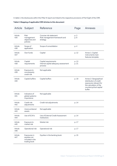In table 2, the disclosures within this Pillar III report are linked to the respective provisions of Part Eight of the CRR.

|  |  | Table 2: Mapping of applicable CRR Articles to this document |
|--|--|--------------------------------------------------------------|
|  |  |                                                              |

| Article        | Subject                                                         | Reference                                                               | Page           | Annexes                                                                                                                                  |
|----------------|-----------------------------------------------------------------|-------------------------------------------------------------------------|----------------|------------------------------------------------------------------------------------------------------------------------------------------|
| Article<br>435 | <b>Risk</b><br>management<br>objectives and<br>policies         | Concise risk statement<br>Risk management framework and<br>strategy     | p. 3<br>p. 8   |                                                                                                                                          |
| Article<br>436 | Scope of<br>application                                         | Scope of consolidation                                                  | p. 4           |                                                                                                                                          |
| Article<br>437 | Own funds                                                       | Capital                                                                 | p. 12          | Annex 1: Capital<br>instruments main<br>features template                                                                                |
| Article<br>438 | Capital<br>requirements                                         | Capital requirements<br>Internal capital adequacy assessment<br>process | p. 13<br>p. 21 |                                                                                                                                          |
| Article<br>439 | Exposure to<br>counterparty<br>credit risk                      | Not applicable                                                          |                |                                                                                                                                          |
| Article<br>440 | Capital buffers                                                 | Capital buffers                                                         | p. 19          | Annex 2: Geographical<br>distribution of credit<br>exposures relevant for<br>the calculation of the<br>countercyclical capital<br>buffer |
| Article<br>441 | Indicators of<br>global systemic<br>importance                  | Not applicable                                                          |                |                                                                                                                                          |
| Article<br>442 | Credit risk<br>adjustments                                      | Credit risk adjustments                                                 | p. 14          |                                                                                                                                          |
| Article<br>443 | Unencumbered<br>assets                                          | Not applicable                                                          |                |                                                                                                                                          |
| Article<br>444 | Use of ECAI's                                                   | Use of External Credit Assessment<br>Institutions                       | p. 14          |                                                                                                                                          |
| Article<br>445 | Exposure to<br>market risk                                      | Market risk                                                             | p. 17          |                                                                                                                                          |
| Article<br>446 | Operational risk                                                | Operational risk                                                        | p. 17          |                                                                                                                                          |
| Article<br>447 | Exposures in<br>equities not<br>included in the<br>trading book | Equities in the banking book                                            | p. 15          |                                                                                                                                          |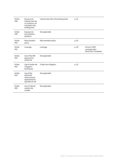| Article<br>448 | Exposure to<br>interest rate risk<br>on positions not<br>included in the<br>trading book | Interest rate risk in the banking book | p. 21 |                                                          |
|----------------|------------------------------------------------------------------------------------------|----------------------------------------|-------|----------------------------------------------------------|
| Article<br>449 | Exposure to<br>securitization<br>positions                                               | Not applicable                         |       |                                                          |
| Article<br>450 | Remuneration<br>policy                                                                   | Remuneration policy                    | p. 22 |                                                          |
| Article<br>451 | Leverage                                                                                 | Leverage                               | p. 19 | Annex 3: CRR<br>Leverage ratio -<br>Disclosure Templates |
| Article<br>452 | Use of the IRB<br>approach to<br>credit risk                                             | Not applicable                         |       |                                                          |
| Article<br>453 | Use of credit risk<br>mitigation<br>techniques                                           | Credit risk mitigation                 | p. 13 |                                                          |
| Article<br>454 | Use of the<br>advanced<br>measurement<br>approaches to<br>operational risk               | Not applicable                         |       |                                                          |
| Article<br>455 | Use of internal<br>market risk<br>models                                                 | Not applicable                         |       |                                                          |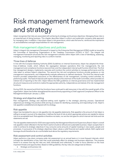# Risk management framework and strategy

Adven recognizes that risks are associated with achieving its strategy and business objectives. Managing these risks is an essential part of doing business. This chapter describes Adyen's uniform and systematic company-wide approach for managing risks. In addition, it lays down Adyen's risk governance, which sets the tone for, reinforces the importance of, and establishes oversight responsibilities for risk management.

### Risk management objectives and policies

Adyen's integral risk management framework<sup>5</sup> is based on the Enterprise Risk Management (ERM) model as issued by the Committee of Sponsoring Organizations of the Treadway Commission (COSO) in 2017. The integral risk management framework structures the risk management activities within Adyen with a view of identifying, assessing, managing, monitoring and reporting risks in a uniform manner.

#### Three lines of defense

In line with the European Banking Authority (EBA) Guidelines on Internal Governance, Adyen has adopted the threelines-of-defense model, which reflects the segregation between operations (first line management), the risk management and compliance functions (second line), and the independent internal audit function (third line). The first line management designs, implements, executes and monitors the control activities to manage performance and the risks taken to achieve Adyen's objectives. The second line risk and compliance functions provide guidance on risk management requirements, and independently evaluate adherence to defined standards. The third line internal audit function provides independent assurance on the effectiveness of risk management, including control activities, by performing audits. The head of internal audit reports directly to the chairman of the Audit Committee, which provides an indirect line of reporting to the CEO. Adyen follows the EBA guidelines on internal governance and has implemented structural measures and controls to realize the appropriate authority, independence and statute of its risk management functions.

During 2020, the second and third-line functions have continued to add resources in line with the overall growth of the organization. Adyen has further strengthened the second line by appointing a Chief Legal and Compliance Officer to the Management Board per January 1, 2020.

#### Strategy and objective setting

Risk management, strategy and objective-setting work together in the strategic planning process. Operational objectives put strategy into practice while serving as a basis for identifying, assessing, and responding to risk. Adyen's risk appetite is established and aligned with its strategy.

#### Risk appetite

Adyen has translated its view on risk appetite into risk appetite statements. Risk appetite is the amount of risk Adyen is willing to accept in pursuit of its objectives. It defines the level of risk at which appropriate actions are needed to reduce risk to an acceptable level. Risk appetite is therefore not static, nor are the risk types for which internal risk limits and risk statements are set.

The risk appetite statements for 2020 were approved by the Management Board and Supervisory Board. Adyen's overall risk appetite is best reflected in the fact that it wants to build an ethical and sustainable business. Adyen accepts that in order to achieve its strategic objectives it may consume some amounts of capital investing in new assets, people and processes. In pursuance of its strategic objectives Adyen values a solid financial and capital outlook. Both capital and leverage should therefore be at a comfortable level above the regulatory requirements.

#### Risk assessment and control activities

Adyen performs a top-down company-wide risk assessment on an annual basis or in more frequent intervals, which includes the identification of key risks that could potentially affect its strategy and business objectives. The purpose hereof is to assess how big the risks are, both individually and collectively, in order to focus attention on the most important threats and opportunities. Based on EBA guidelines, the key risks are categorized as follows:

Strategic and business risk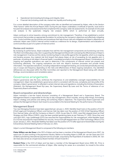- Operational risk (including technology and integrity risks)
- Financial risk (including credit risk, market risk, liquidity and funding risk)

For a more detailed description of the company-wide risks as identified and assessed by Adyen, refer to the Section "Risk Factors" within the Annual Report 2020. During the year Adyen undertakes a multitude of specific, local and/or focused risk analyses and assessments that complement the company-wide risk assessments. An example of a focused risk analysis is the systematic integrity risk analysis (SIRA) which is performed at least annually.

Adyen continues to strive towards a strong commitment to risk management. Therefore, it has established a control environment that provides an appropriate foundation for achieving the company's objectives and effectively mitigating risks. Control activities are the policies and procedures that help ensure risks are mitigated and Adyen's objectives are achieved. Adyen uses COSO's internal control model as a reference for its design, implementation and evaluation of control activities as part of a system of internal control.

#### Review and revision

By reviewing its performance, Adyen evaluates how well the risk management components are functioning over time. The Risk Committee plays a key role in supporting the Management Board with overseeing the effectiveness of Adyen's risk management. It carries out this role by monitoring Adyen's risk profile against the risk appetite, which is an ongoing and iterative process. Any material risk limit breach that places Adyen at risk of exceeding its risk appetite and, in particular, of putting at risk Adyen's financial health, is escalated promptly to the Management Board. Combinations of ongoing and separate evaluations are used to determine if the components of internal control are present and functioning effectively. The ongoing evaluations are built into Adyen's business processes and provide timely information. The separate evaluations, including independent management testing, are conducted periodically and may vary in scope and frequency depending on the risks and effectiveness of these ongoing evaluations. Any identified deficiencies are discussed within the Risk Committee and reported to the Management Board along with relevant findings, recommendations and remediation plans.<sup>6</sup>

### Governance arrangements

Adyen's governance sets the tone, reinforces the importance of, and establishes oversight responsibilities for risk management. Adyen has established a governance which is consistent with the size, complexity and risk profile of the company. Adyen's governance7 is reflected in certain internal rules and regulations, including the Articles of Association (*Statuten*), the Management Board By-Laws, the Supervisory Board By-Laws and the Terms of reference of our Supervisory Board committees.

#### Board composition and directorships

Adyen maintains a two-tier board structure consisting of a Management Board and a Supervisory Board. The Management Board is responsible for the day-to-day management, which includes, among other things, formulating Adyen's strategy and policies and setting and achieving Adyen's objectives. The Supervisory Board supervises and advises the Management Board. Each board is accountable to the General Meeting for the performance of its duties.

#### Management Board

Two new Managing Directors have been appointed per January 1, 2020. Mariëtte Swart took on the position of CLCO (Chief Legal and Compliance Officer), and Kamran Zaki has taken over the position of COO (Chief Operating Officer) from Samuel Halse, who left the Company on March 1, 2020. As per May 31, 2020, Joop Wijn stepped down as Chief Strategy and Risk Officer (CSRO). Joop has been granted gardening leave as per February 27, 2020. Since then and until April 2021, Ingo Uytdehaage (CFO) has assumed the responsibilities for risk management, while Mariëtte Swart (CLCO) has assumed the responsibilities for security. Arnout Schuijff stepped down as Chief Technology Officer (CTO) as per January 1, 2021. Alexander Matthey has taken over the position of CTO after approval of shareholders during the Extraordinary General Meeting held on February 12, 2021.

Adyen's current Management Board is composed of the following six members.

**Pieter Willem van der Does** is the CEO of Adyen and has been a member of the Management Board since 2007. He spent over 15 years working in the payments industry. Before co-founding Adyen in 2006, Mr. van der Does was CCO at Bibit (a pioneering international payment service provider, acquired by the Royal Bank of Scotland in 2004). Mr. Van der Does also serves as a Supervisory Board member of Écart Invest B.V.

**Roelant Prins** is the CCO of Adyen and has been a member of the Management Board since 2009. Mr. Prins is responsible for the commercial activities of Adyen. After starting his career as a consultant, he moved to the online

<sup>6</sup> Art. 435(2)(e) CRR.

<sup>7</sup> Art. 435(2) CRR.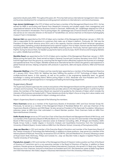payments industry early 2000. Throughout the years, Mr. Prins has held various international management roles in sales and business development for companies providing payment solutions to international e-commerce businesses.

**Ingo Jeroen Uytdehaage** is the CFO of Adyen and has been a member of the Management Board since 2011. He has earned his MBA in accounting and finance from Maastricht University and studied supply chain management and organizational behavior at the Aarhus Business School in Denmark. Additionally, Mr. Uytdehaage obtained his CPA at the Vrije Universiteit in Amsterdam. Prior to joining Adyen, Mr. Uytdehaage was a Finance Director at KPN. Currently, he also serves as non-executive director on the board of TransferWise Ltd. and as chairman on the board of photography museum Foam in Amsterdam.

**Kamran Zaki** was appointed as the COO of Adyen and a member of the Management Board per January 1, 2020. Mr. Zaki is responsible for the operations to customers that make use of Adyen's platform. Previously, Mr. Zaki was the President of Adyen North America since 2014, and in this capacity, Kamran oversaw all North American operations, including sales, marketing, product development and customer support. Prior to Adyen, Kamran was the Head of Global Payments at Netflix where he helped expanding the Netflix streaming service. Previously, Kamran spent seven years at PayPal. During his tenure there, he headed up payments teams across Europe, North America and Emerging Markets (i.e. LatAm, Middle East and Africa).

**Mariëtte Swart** was appointed as the CLCO of Adyen and a member of the Management Board per January 1, 2020. Before joining the board, Mrs. Swart served as Adyen's General Counsel and Company Secretary since 2015. She has built the legal team from the ground up, ensuring that the legal function effectively supports the business at a strategic and operational level. Prior to Adyen, Mariëtte worked at an international law firm where she gained a vast experience in global financial services, helping companies with products in payments, debt and equity solutions, M&A and financial markets.

**Alexander Matthey** is the CTO of Adyen and has recently been appointed as a member of the Management Board as of 1 January 2021. Since 2019, Mr. Matthey has been fulfilling the position of EVP Technology at Adyen, leading multiple technical teams. In this capacity, as well as his position in the engineering leadership team, he gained knowledge in scaling and building teams. Before joining Adyen in 2015, Alexander was Vice-President and CTO of Glossybox, where he gained experience in managing and leading the technology department.

#### Supervisory Board

The Supervisory Board supervises the conduct and policies of the Management Board and the general course of affairs of Adyen and its business. The Supervisory Board also provides advice to the Management Board. In performing their duties, the members of the Supervisory Board are required to be guided by the interests of Adyen which includes the interests of the business connected with it. These interests are driven by Adyen's focus on long-term value creation and the way in which this is implemented in Adyen's strategy and culture.

Adyen's Supervisory Board is composed of the following five members.

**Piero Overmars** serves as a member of the Supervisory Boards of Amsterdam UMC and Dura Vermeer Groep NV. Previously, he served as a member of the Management Board of Randstad Beheer B.V. and was Chairman of the Supervisory Boards of Nutreco and SNS Reaal. He also served as President of the Nyenrode Foundation, following an extensive career at ABN Amro that culminated in a Board Member position. Piero Overmars holds an MBA from Nyenrode Business University.

**Delfin Rueda Arroyo** serves as CFO and Vice-Chair of the Executive Board and Management Board of NN Group, and is a member of the Supervisory Board of Allfunds Bank S.A.U. Previously, he was CFO and member of the Management Board of ING Insurance, following an extensive career at Andersen Consulting, UBS, JP Morgan and Atradius. Delfin Rueda Arroyo holds a master degree in Economic Analysis and Quantitative Economics from the Complutense University of Madrid (Spain). He also holds an MBA from the Wharton School, University of Pennsylvania (USA).

**Joep van Beurden** is CEO and member of the Executive Board of Kendrion and member of the Supervisory Board of the Twente University of Technology (the Netherlands). In additions to these positions, Joep serves as a member of the Advisory Board of PlantLab. Previously, he served as CEO of CSR Plc. (UK) and NexWave Inc. (France), following a career at Royal Dutch Shell, McKinsey, Philips and Canesta Inc. Joep van Beurden holds a degree in Applied Physics from Twente University of Technology.

**Pamela Ann Joseph** is CEO and member of the Management Board of Clearent, holds a position as Chair of the Board of Directors of TransUnion and is a non-executive member in the Board of Directors of Paychex. In addition to these positions, Pamela serves as Operating Partner at Advent International. Previously, she served U.S. Bank corp. Payment Services as a Vice-Chairman, and prior to that Elavon as President and COO. She started her career at Wells Fargo Bank and VISA International. She holds a degree in Business Administration from the University of Illinois (USA).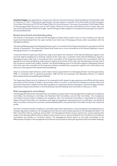**Caoimhe Keagon** was appointed as a Supervisory Director at the Extraordinary General Meeting of shareholders held on February 12, 2021. Following her appointment, she also became a member of the Nomination and Remuneration Committee. She serves as CPO (Chief People Officer) for Aveva Group plc. Previously, she served as Chief People Officer for Moneysupermarket Group plc, and as SVP People, Places & Community at SoundCloud. Prior to these roles, she was Senior HR Business Partner at Google. Caoimhe Keogan holds a degree in Occupational Psychology from Queen's University Belfast (UK).

#### Board recruitment and diversity policy

The Articles of Association provide that the Management Board shall consist of two or more members and that the Supervisory Board determines the exact number (more than two) of Managing Directors after consultation with the Management Board.

The General Meeting appoints Managing Directors upon a nomination by the Supervisory Board in accordance with the Articles of Association. The Supervisory Board shall make one or more nominations to the General Meeting in case a Managing Director is to be appointed.

In the event that the Supervisory Board has made a nomination, the resolution of the General Meeting to appoint such nominee shall be adopted by an absolute majority of the votes cast. A resolution of the General Meeting to appoint a Managing Director other than in accordance with a nomination of the Supervisory Board, but in accordance with the agenda for such General Meeting, shall require a majority of two thirds of the votes cast representing more than half of the Company's issued share capital. However, the General Meeting may at its discretion appoint a Managing Director other than upon the nomination of the Supervisory Board, provided that a proposal to appoint such other person has been put on the agenda of the relevant General Meeting.

Adyen is a licensed credit institution, which means that any appointment of a Managing Director must be approved by DNB. In connection with its approval procedure, DNB will test the proposed new Managing Director on integrity (*betrouwbaarheid*) and suitability (*geschiktheid*).

The Supervisory Board aims for a balance in its composition with respect to age, experience and affinity with the nature and culture of the business of Adyen in all countries where it is active. In line with the Company's Inclusion Policy and the Dutch Parliament's adoption of the SER's guideline on Supervisory Board composition, Caoimhe Keogan has been appointed as Supervisory Director in the Extraordinary General Meeting which was held on February 12, 2021.

#### Risk management committees

The Management Board has instituted three committees to support with its risk management oversight: the Compliance Committee, the Disclosure Committee, the Merchant Risk Committee, and the Risk Committee. The Compliance Committee monitors Adyen's integrity and compliance risks, the Disclosure Committee is responsible for reviewing Adyen's financial information for compliance with legal and regulatory requirements prior to publication, the Merchant Risk Committee monitors the merchants' potential liability (MPL) risk and the Risk Committee monitors the overall risk profile.

The Risk Committee and the Compliance Committee report their observations, recommendations and deliberations on findings regarding compliance, risk management and internal control at least quarterly to the Management Board. The Risk Committee held six meetings during 2020. The Management Board reviews reports from control assessments made on the operating effectiveness of systems and controls, acts on recommendations from the Risk and Compliance Committees and decides on corrective actions. The Management Board reports to the Audit Committee on the effectiveness of Adyen's risk management and internal control systems during the quarterly Audit Committee meetings.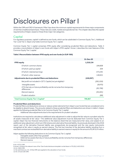# Disclosures on Pillar I

Within the CRR and CRD IV framework, Pillar I lays down the minimum capital requirements for three major components of risk that a traditional bank faces. These risks are credit, market and operational risk. This chapter describes the capital requirements of Adyen, based on these three major risk categories.

# **Capital**

For regulatory purposes, capital<sup>8</sup> is defined as own funds, which can be subdivided in Common Equity Tier 1, Additional Tier 1 and Tier 2. Adyen only holds Common Equity Tier 1 capital.

Common Equity Tier 1 capital comprises IFRS equity after considering prudential filters and deductions. Table 3 provides a reconciliation of Adyen's own funds with Adyen's IFRS capital.9 Annex I, describes the main features of this Common Equity Tier 1 capital.

#### **Table 3 Reconciliation between IFRS equity and own funds (in EUR '000)**

|                                                                                      | 31-Dec-20  |
|--------------------------------------------------------------------------------------|------------|
| <b>IFRS equity</b>                                                                   | 1,218,134  |
| Of which: common shares                                                              | 194,608    |
| Of which: paid up capital                                                            | 304        |
| Of which: retained earnings                                                          | 873,291    |
| Of which: other reserves                                                             | 149,931    |
| Adjustments due to prudential filters and deductions                                 | (418, 267) |
| Net profit not included in CET1 Capital (not yet eligible) <sup>10</sup>             | (261, 019) |
| Intangible assets                                                                    | (9,970)    |
| DTA that rely on future profitability and do not arise from temporary<br>differences | (93, 788)  |
| Warrant reserve                                                                      | (53, 401)  |
| Prudent valuation                                                                    | (89)       |
| Total Common Equity Tier 1 Capital <sup>11</sup>                                     | 799,867    |

#### **Prudential filters and deductions**

Prudential filters and deductions remove or reduce certain elements from Adyen's own funds that are considered not to be eligible to absorb losses. The amounts related to these prudential filters and deductions are shown in table 3. Adyen applies the following prudential filter to its Common Equity Tier 1 capital:

Additional value adjustments due to the requirements for prudent valuation

Institutions are required to calculate an additional value adjustment in order to adjust the fair value to a prudent value for all assets measured at fair value.12 The additional value adjustment must be deducted from Common Equity Tier 1 capital. Adyen has two financial instruments on the balance sheet that are measured at fair value, and subject to an additional value adjustment, which are VISA shares and a derivative financial liability. As previously disclosed in the 2018 report, part of the derivative financial liability was prospectively de-recognized and the new equity instruments recognized at fair value in equity as warrant reserve. The first two tranches of the derivative liability resulting from a merchant contract are reclassified from derivative liability to warrant reserve in equity for the amount of EUR 53.4 million.

Adyen applies the following deductions to its Common Equity Tier 1 capital:

- Intangible assets other than goodwill
- Deferred tax assets that rely on future profitability and do not arise from temporary differences
- Warrant reserve

<sup>8</sup> Art. 437(1) CRR.

<sup>9</sup> Annex I contains the relevant rows of the 'Own funds disclosure template' as laid down in ITS (EU) 1423/2013.

<sup>10</sup> Art. 26(2) CRR.

<sup>11</sup> No restrictions ex. Art. 437(e) CRR were applied to the calculation of own funds.

<sup>12</sup> Art. 34 and 105 CRR.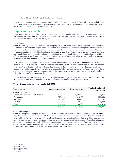Net profit not included in CET1 Capital (not yet eligible)

As of 31 December 2020, Adyen's total Common Equity Tier 1 Capital amounted to EUR 800 million when excluding net profits for the year. Once Adyen's net profits are formally confirmed, they may be included in CET1 capital, which would result in a CET1 Capital position of EUR 1,061 million.

### Capital requirements

Adyen applies the standardized approaches to determine how much capital it is required to hold for credit and market and applies the Basic Indicator Approach for operational risk. Resulting from Adyen's business model, capital requirements for operational risk are the highest.

#### Credit risk

Credit risk can originate from the risk that a counterparty will not settle the full value of an obligation — neither when it becomes due, nor thereafter. Adyen is and will continue to be subject to the risk of actual or perceived deterioration of the commercial and financial soundness, or perceived soundness, of merchants and other financial institutions, in particular in relation to receivables from financial institutions regarding settled payment transactions, and cash and cash- equivalents held at financial institutions. In addition, Adyen has credit risk on certain contract assets and from offering merchants a pre-financing service, which it refers to as Sales Day Payout. Adyen has no derivatives or securities financing transactions, nor positions in securitizations.

At 31 December 2020, Adyen's total credit exposures amounted to EUR 4.1 billion resulting in total risk-weighted exposures of EUR 926.2 million and an own funds requirement of EUR 74.1 million.13. The majority of Adyen's exposures have a short-term duration, with residual maturities of days. For this reason, Adyen does not disclose a break-down of exposures by residual maturity<sup>14</sup>. Additionally, Adyen does not disclose on its concentration risk<sup>15</sup> as Adyen does not have a loan portfolio. Adyen is aware of the concentration of its exposures, most notably on partner banks, which is reflected in its Pillar 2 add-on for concentration risk.

Table 4 provides an overview of Adyen's credit risk exposures, showing the average over 2020, the exposure as per 31 December 2020 and the total amount of risk-weighted exposures broken down by exposure class.<sup>16</sup>

| Exposure Class                         | Average exposures | <b>Total exposures</b> | <b>Total risk-weighted</b><br>exposures |
|----------------------------------------|-------------------|------------------------|-----------------------------------------|
| <b>Standardized Approach</b>           |                   |                        |                                         |
| - Central governments or central banks | 1,433,477         | 1,606,682              | 3,744                                   |
| - Corporates                           | 270.316           | 318,422                | 253,558                                 |
| - Institutions                         | 1,467,504         | 1,965,975              | 411,492                                 |
| - Equities                             | 37,252            | 20,883                 | 20,883                                  |
| - Other                                | 214,846           | 236,529                | 236,529                                 |
| <b>Total</b>                           | 3,423,394         | 4,148,490              | 926,205                                 |

#### **Table 4 Exposures by exposure class (in EUR '000)**

#### **Credit risk mitigation**

Credit risk mitigation techniques are used to reduce the credit risk associated with its credit exposures. As a credit risk mitigation technique, Adyen employs off-balance sheet netting with one of its foreign counterparties. This regards an enforceable master netting arrangement that allows offsetting in the even to default, collateralized by a debt security issued by a central government that has a credit assessment of an external credit rating agency<sup>17</sup>. The collateral is valued at market value and risk weighted at 10% as an exposure to central governments. As of 31 December 2020, the total exposure to this counterparty was EUR 73.0 million, of which 37.4 million is secured by collateral. Table 5 shows the split between secured and unsecured exposures, broken down by exposure class.

l

<sup>13</sup> Art. 438(c) CRR.

<sup>14</sup> Art. 442(f) CRR.

<sup>15</sup> Art. 442(e,g) CRR.

<sup>16</sup> Art. 442(c) CRR.

<sup>17</sup> Art. 453 CRR.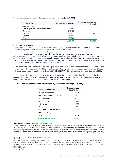#### **Table 5 Unsecured and secured exposures by exposure class (in EUR '000)**

| Exposure Class                         | <b>Unsecured exposures</b> | <b>Exposures secured by</b><br>collateral |
|----------------------------------------|----------------------------|-------------------------------------------|
| <b>Standardized Approach</b>           |                            |                                           |
| - Central governments or central banks | 1,606,682                  |                                           |
| - Corporates                           | 318,422                    |                                           |
| - Institutions                         | 1,965,975                  | 37.436                                    |
| - Equities                             | 20,883                     |                                           |
| - Other                                | 236,529                    |                                           |
| <b>Total</b>                           | 4,148,490                  | 37,436                                    |

#### **Credit risk adjustments**

Adyen considers an exposure to be past due if it has been due for more than one day and considers an exposure in default and impaired when either or both of the following have taken place:18

- The counterparty is past due more than 90 days
- The counterparty is considered unlikely to pay, for example due to bankruptcy or other factors

Adyen assesses on a forward-looking basis the expected credit loss associated with its debt instruments carried at amortized cost. The impairment methodology applied depends on whether there has been a significant increase in credit risk. For trade receivables and contract assets, Adyen applies the simplified approach, which requires expected lifetime losses to be recognized from initial recognition of the assets.<sup>19</sup>

At reference date, Adyen had EUR 20.0 million exposures in default<sup>20</sup>, for which it has provisioned EUR 4.8 million as a general credit risk adjustment. It should be noted these defaulted exposures are now recognized due to the publication of the new guidelines on the definition of default (EBA/GL/2016/07), which entered into force as of 1 January, 2021.

Table 6 reports the exposure amounts that are past due for 90 days or more, broken down by country of the defaulted counterparty<sup>21</sup>. Most of these non-performing exposures are due from Corporates<sup>22</sup> and represent invoices for payment services that were not collected via transaction flows (i.e. Trade receivables).

#### **Table 6 Exposures past due for 90 days or more by country of exposure (in EUR '000)**

| Country of counterparty         | <b>Exposures past</b><br>due >90 days |
|---------------------------------|---------------------------------------|
| (NL) the Netherlands            | 8,146                                 |
| (US) United States of America   | 6,921                                 |
| (SG) Singapore                  | 1,377                                 |
| (DE) Germany                    | 854                                   |
| (FR) France                     | 659                                   |
| (CH) Switzerland                | 357                                   |
| (CN) People's Republic of China | 332                                   |
| (GB) United Kingdom             | 217                                   |
| Other                           | 1,126                                 |
| <b>Total exposure value</b>     | 19,989                                |

#### **Use of External Credit Assessment Institutions**

Adyen applies ratings from External Credit Assessment Institutions<sup>23</sup> (ECAIs) to determine the risk weight of an exposure. With respect to its rated exposures, Adyen by default uses Moody's whenever it has a rating available. Only in the case that no rating of Moody's is available, Adyen uses a rating provided by Fitch. Adyen therefore does not cherry-pick its ratings. In order to determine the risk weight of an exposure, a rating is converted into the corresponding credit quality

í

20 As of 1 January, 2021, the new guidelines on the definition of default (EBA/GL/2016/07) entered into force, which specify thresholds for institutions to recognize defaulted exposures. As a result, Adyen's defaulted exposures are now recognized under the credit risk framework. Thus, the recognition of defaulted exposures is purely due to a regulatory change rather than a change to Adyen's non-performing exposures. 21 Art. 442(h) CRR.

22 Art. 442(g) CRR.

<sup>18</sup> Art. 442(a) CRR. Definition is in line with Art. 178 CRR.

<sup>19</sup> Art. 442(b) CRR.

<sup>23</sup> Art. 444 CRR.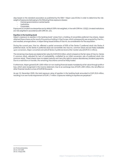step based on the standard association as published by the EBA.<sup>24</sup> Adyen uses ECAIs in order to determine the riskweight of exposures belonging to the following three exposure classes:

- Central governments or central banks
- **Institutions**
- **Corporates**

Exposures to unrated counterparties are by default 100% risk weighted, in line with CRR Art. 122(2). Unrated institutions are risk weighted in accordance with CRR Art. 121.

#### **Equities in the banking book**

Adyen's exposure to equities in the banking book<sup>25</sup> arises from a holding of convertible preferred Visa shares. Adyen obtained these shares as the result of its previous holding in Visa Europe, which subsequently was acquired by Visa Inc., and resulted, amongst others, in Adyen being issued shares of Visa Inc. as consideration for the acquisition.

During the current year, Visa Inc. effected a partial conversion of 50% of the Series C preferred stock into Series A preferred stock. As the Series A preferred stock are convertible into Visa Inc. common stock and are freely tradeable upon conversion, Adyen converted and sold all Series A preferred stock at fair market value (EUR 23.1 million).

The remaining Visa shares are stated at fair value for EUR 20.9 million, which is based on the fair value of Visa Inc. Series C common stock, adjusted for lack of marketability, multiplied by an initial conversion rate of preferred stock into common stock. These shares have no stated maturity and carry the right to receive discretionary dividend payments. Due to a restriction on transfer, the remaining Visa shares cannot be freely traded.

Furthermore, Adyen gained EUR 1.005 million on non-trading financial assets mandatorily at fair value through profit or loss, which were recognized in the income statement. Due to an exchange loss of EUR 1.064 million, the net effect on other financial results is a loss of EUR 59 thousand.

As per 31 December 2020, the total exposure value of equities in the banking book amounted to EUR 20.9 million, resulting in an own funds requirement of EUR 1.7 million. Exposures relating to equities are perpetual.26

24 ITS (EU) 2018/634. 25 Art. 447 CRR. 26 Art. 442(f) CRR.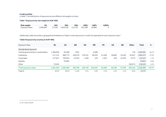#### **Credit portfolio**

In table 7, the distribution of exposures across different risk weights is shown.

#### **Table 7 Exposures by risk weight (in EUR '000)**

| Risk weight    | $0\%$                                             | <b>10%</b> | 20% | $50\%$ $100\%$ | 150% | 1250% |
|----------------|---------------------------------------------------|------------|-----|----------------|------|-------|
| Exposure value | 1,606,682 37,436 1,918,156 114,761 451,466 19,989 |            |     |                |      |       |

Additionally, table 8 provides a geographical breakdown of Adyen's total exposures to credit risk separately for each exposure class.<sup>27</sup>

#### **Table 8 Exposure by country (in EUR '000)**

| Exposure Class                       | <b>NL</b> | US        | <b>GB</b>                | <b>DE</b>                | <b>BR</b>                | <b>FR</b>                | ES     | <b>BE</b>                | Other   | Total     | %      |
|--------------------------------------|-----------|-----------|--------------------------|--------------------------|--------------------------|--------------------------|--------|--------------------------|---------|-----------|--------|
| Standardized Approach                |           |           |                          |                          |                          |                          |        |                          |         |           |        |
| Central governments or central banks | 1,499,826 | 92,089    | 7,951                    | $\sim$                   | 6,088                    | $\equiv$                 |        | $\overline{\phantom{0}}$ | 729     | 1,606,682 | 38.7%  |
| Institutions                         | 217,131   | 869,774   | 438,576                  | 125,331                  | 98,030                   | 51,266                   | 49,890 | 23,030                   | 92,947  | 1,965,975 | 47.4%  |
| Corporates                           | 127,621   | 109,553   | 44,254                   | 1,408                    | 125                      | 1,303                    | 458    | 24,325                   | 9,374   | 318,422   | 7.7%   |
| Equities                             | $\sim$    | 20,883    | $\overline{\phantom{a}}$ | $\overline{\phantom{a}}$ | $\overline{\phantom{0}}$ | $\overline{\phantom{a}}$ | -      |                          | $\sim$  | 20,883    | 0.5%   |
| Other                                | 76.455    | -         | $\overline{\phantom{0}}$ | $\overline{\phantom{0}}$ | $\overline{\phantom{0}}$ | $\overline{\phantom{a}}$ | ۰      | $\sim$                   | 160,074 | 236,529   | 5.7%   |
| Total exposure value                 | 1,921,033 | L.092,299 | 490,780                  | 126,739                  | 104,243                  | 52,569                   | 50,349 | 47,355                   | 263,124 | 4,148,490 | 100.0% |
| Total %                              | 46.3%     | 26.3%     | 11.8%                    | 3.1%                     | 2.5%                     | 1.3%                     | 1.2%   | 1.1%                     | 6.3%    | 100.0%    |        |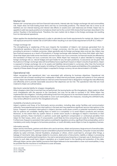#### Market risk

Market risk<sup>28</sup> comprises price risk from financial instruments, interest rate risk, foreign-exchange risk and commodities risk. Adyen does not hold trading book items and has no commodity positions. The interest rate risk is minor as all liabilities are non-interest bearing and interest rate effects on assets (own cash balances) are limited. Adyen has no appetite to add new equity positions to its balance sheet next to the current VISA shares that have been described in the section 'Equities in the banking book. Therefore, the main market risk to Adyen is the foreign-exchange risk resulting from its international operations.

Adyen applies the standardized approach in order to calculate its own funds requirements for market risk. Adyen's total risk exposure amount for market risk is EUR 526.6 million resulting in an own funds requirement of EUR 42.1 million. 29

#### *Foreign-exchange risk*

The strengthening or weakening of the euro impacts the translation of Adyen's net revenues generated from its international operations that are denominated in foreign currencies, into the euro. Additionally, in connection with providing its services in multiple currencies, Adyen generally sets its foreign-exchange rates once per day. Adyen may face financial exposure as a result of fluctuations in foreign-exchange rates between the times that Adyen sets them. Given that Adyen also holds some merchants' and own funds in non-euro currencies, its financial results are affected by the translation of these non-euro currencies into euro. While Adyen has measures in place intended to manage its foreign-exchange risk (i.e. natural hedges and spot trades for any net open positions), no assurance can be given that fluctuations in foreign-exchange rates will nevertheless have a significant impact on Adyen's results of operations. Adyen is exposed to foreign-exchange risk on its assets and liabilities denominated in currencies other than the functional currency, including certain contract assets, its holding of Visa shares and the assets and liabilities of its subsidiaries. The majority of these assets through which Adyen is exposed to foreign currency risk are denominated in US dollar.

#### Operational risk

Adyen recognizes that operational risks<sup>30</sup> are associated with achieving its business objectives. Operational risk concerns the risk of losses resulting from inadequate or failed internal processes, people and systems or from external events. Adyen has therefore implemented an internal control framework that is designed to manage the risks effectively and efficiently and to provide reasonable assurance that objectives can be met. The operational risks that are most material to Adyen are outlined below.

#### *Merchants' potential liability for shopper chargebacks*

When shoppers claim that a merchant has not performed, the issuing banks can file chargebacks. Adyen seeks to offset such chargebacks with the payouts to the merchants, but may not be able to succeed in full. While Adyen has implemented risk mitigation, including withholding funds from the payouts to its merchants based on assumptions and estimates that Adyen believes are reasonable to cover such eventualities, the measures, including the withheld funds, may not be sufficient to cover for the chargeback amounts.

#### *Availability of products and services*

Adyen's systems and those of its third-party service providers, including data center facilities and communication networks, have experienced service interruptions in the past and may experience significant service interruptions in the future. Frequent or persistent interruptions in Adyen's services could cause current or potential merchants to believe that its systems are unreliable, leading them to switch to a competitor or to avoid Adyen's products and services. Moreover, to the extent that any system failure or similar event results in damages to Adyen's merchants or their business partners, these merchants or partners could seek significant compensation or contractual penalties from Adyen for their losses, which, even if unsuccessful, could likely be time-consuming and costly for Adyen to address. Furthermore, frequent or persistent interruptions could lead to regulatory scrutiny, significant fines and penalties, and/or mandatory and costly changes to its business practices, or could ultimately cause Adyen to lose its regulatory licenses.

#### *Information security*

Adyen and its merchants, partners and others who use its services, obtain and process a large amount of sensitive data. Adyen's and its partners' IT systems may be vulnerable to physical and electronic breaches, computer viruses and other attacks by cyber-criminals, internet fraudsters, employees or others, which could lead to, amongst other things, a leakage of merchants' data, damage related to incursions, destruction of documents, inability or delays in processing transactions and unauthorized transactions. Any real or perceived privacy breaches or improper use of, disclosure of, or access to such data could harm Adyen's reputation as a trusted brand in the handling and protection of this data. Although Adyen carries cyber liability insurance that Adyen believes to be reasonable to cover such eventualities, it may be possible that the insurance is insufficient to cover all losses.

28 Art. 445 CRR. 29 Art. 438(e) CRR.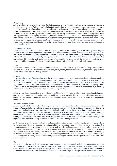#### *Data privacy*

Adyen is subject to complex and evolving Dutch, European and other jurisdiction's laws, rules, regulations, orders and directives (referred to as "privacy laws") relating to the collection, use, retention, security, processing and transfer of personally identifiable information about its merchants, their shoppers, third parties and others and their transactions in the countries where Adyen operates. Much of the personal data that Adyen processes, especially financial information, is regulated by multiple privacy laws and, in some cases, the privacy laws of multiple jurisdictions. In many cases, these laws apply not only to third-party transactions, but also to transfers of information between or among Adyen and its subsidiaries. Any failure, or perceived failure, by Adyen to comply with its privacy policies or with any applicable privacy laws in one or more jurisdictions could result in proceedings or actions against Adyen by governmental entities or others, including class action privacy litigation in certain jurisdictions, significant fines, penalties, judgments and resulting reputational damage.

#### *Entrepreneurial culture*

Adyen's entrepreneurial culture has been one of the primary drivers of its historical growth. As Adyen grows, it may not be able to maintain its entrepreneurial company culture, which fosters innovation and talent. The working from home restrictions due to the pandemic add to the challenge of maintaining, transferring and fostering the right company culture. If Adyen does not successfully manage its growth, and is not able to differentiate its business from those of its competitors, drive value for and retain merchants, or effectively align its resources with its goals and objectives, Adyen may not be able to compete effectively against its competitors, leading to declining growth and revenues.

#### *Talent*

Adyen's future performance depends substantially on the continued services of key talent and its ability to attract, retain, and motivate such talent. The loss of the services of any of Adyen's key talent or Adyen's inability to attract highly qualified key talent may adversely affect its operations.

#### *Integrity*

Integrity risk is the risk of inappropriate behavior of management and employees or third parties (merchants, suppliers, advisers) posing a current or future threat to Adyen and/or the proper functioning of the financial system, that can be attributed to Adyen or in which Adyen acts imputable. Such inappropriate behavior could refer to violations of law, regulations, internal policies, and market expectations of ethical business conduct. If Adyen (or a third party it does business with) fails to comply with laws and regulations, or market expectations of ethical business conduct, supervisory authorities may initiate legal and regulatory proceedings against Adyen.

Adyen has policies and procedures that it believes are sufficient to comply with the relevant anti-money laundering, anticorruption and sanctions rules and regulations. Inability to prevent integrity risks from materializing can have severe consequences, including litigation, sanctions, administrative measures, fines, criminal penalties and reputational consequences.

#### *Intellectual property rights*

As substantially all of Adyen's intellectual property is developed in-house, the protection of such intellectual property, including Adyen's platforms, trademarks, copyrights, domain names, trade dress, and trade secrets, is important to the success of its business. Adyen seeks to protect its intellectual property rights by relying on applicable laws and regulations, as well as a variety of administrative procedures. Adyen's intellectual property rights may be contested, circumvented, or found unenforceable or invalid, and Adyen may not be able to prevent third-parties from infringing, diluting, or otherwise violating them. Any failure to adequately protect or enforce Adyen's intellectual property rights, or significant costs incurred in doing so, could diminish the value of its intangible assets.

As the number of products in the technology and payments industries increases and the functionality of these products further overlaps, Adyen may become increasingly subject to intellectual property infringement and other claims. The ultimate outcome of any allegation is often uncertain and, regardless of the outcome, any such claim, with or without merit, may be time-consuming, result in costly litigation, divert management's time and attention, and require Adyen to, among other things, stop providing transaction processing and other payment-related services or redesign, stop selling its products or services, pay substantial amounts to satisfy judgments or settle claims or lawsuits, pay substantial royalty or licensing fees, or satisfy indemnification obligations that Adyen has with certain parties with whom Adyen has commercial relationships.

#### *Tax*

Social tolerance for tax avoidance is decreasing and international developments have led to the introduction of stricter regulations around tax avoidance. Adyen has a low risk appetite to be involved in activities aimed at evasion or avoidance of tax regulations by itself or third parties through the provision of its services. The determination of Adyen's worldwide position for income taxes, value-added taxes and other tax liabilities requires clear processes and controls by which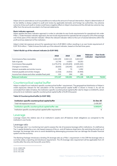Adyen aims to automate as much as possible as to reduce the amount of manual intervention. Adyen's determination of its tax liability is always subject to audit and review by applicable domestic and foreign tax authorities. Any adverse outcome of any such audit or review could have a negative effect on Adyen's business and the ultimate tax outcome may differ from the amounts recorded in its financial statements.

#### **Basic indicator approach**

Adyen applies the basic indicator approach in order to calculate its own funds requirements for operational risk under Pillar 1. Under the basic indicator approach, the own funds requirement for operational risk is equal to 15% of the average over three years of the relevant indicator. Where the relevant indicator refers to the sum of several elements within the profit and loss statement of the institution.

Adyen's total risk exposure amount for operational risk is EUR 986.5 million resulting in an own funds requirement of EUR 78.9 million. $^{\rm 31}$  Table 9 shows the build-up of the relevant indicator, based on the last three years.

#### **Table 9 Build-up of the relevant indicator (in EUR '000)**

|                                                   | 2018        | 2019        | 2020        | <b>Relevant</b><br>indicator | Own funds<br>requirement |
|---------------------------------------------------|-------------|-------------|-------------|------------------------------|--------------------------|
| Commissions/fees receivables                      | 1,642,200   | 2,642,121   | 3,622,037   |                              |                          |
| Sale of goods                                     | 10,748      | 14,653      | 19,353      |                              |                          |
| Commission/fees payable                           | (1,270,473) | (2,105,929) | (2,935,182) |                              |                          |
| Changes in inventory                              | (9,029)     | (16, 545)   | (22,007)    |                              |                          |
| Interest receivable and similar income            | 316         | 70          | 1,052       |                              |                          |
| Interest payable and similar charges              | (1,516)     | (4,633)     | (9,406)     |                              |                          |
| Income from shares and other variable/fixed yield | 101         | 264         | 281         |                              |                          |
| <b>Relevant indicator</b>                         | 372,347     | 530.001     | 676,128     | 526,159                      | 78.924                   |

### Countercyclical capital buffer

Adyen is subject to an institution specific countercyclical buffer<sup>32</sup> requirement. The geographical distribution of Adyen's credit exposures relevant for the calculation of the countercyclical capital buffer is shown in Annex II. As can be concluded from table 10 below, the institution-specific countercyclical capital buffer rate for Adyen is 0.00024%, which amounts to an institution-specific countercyclical capital buffer of EUR 6 thousand.

#### **Table 10 Countercyclical buffer (in EUR '000)**

| Institution-specific countercyclical capital buffer             | 31-Dec-20 |
|-----------------------------------------------------------------|-----------|
| Total risk exposure amount                                      | 2.439.397 |
| Institution specific countercyclical capital buffer rate        | 0.00024%  |
| Institution specific countercyclical capital buffer requirement |           |

### Leverage

Leverage means the relative size of an institution's assets and off-balance sheet obligations as compared to the institution's own funds.

#### Leverage ratio

The leverage ratio<sup>33</sup> is a monitoring tool used to assess the risk of excessive leverage within institutions. It is defined as Tier 1 capital divided by a non-risk-based measure of the on- and off-balance sheet items. By restricting the build-up of leverage, the leverage ratio aims to avoid destabilizing deleveraging processes that can damage the broader financial system and the economy.

The Banking Package introduces a binding 3% leverage ratio as a Pillar 1 requirement. In the CRR the leverage ratio is currently solely a reporting and disclosure requirement. The 3% leverage ratio requirement will be applicable from 24 months after the entry into force (28 June 2021).

31 Art. 438(f) CRR.

32 Art. 440 CRR.

<sup>33</sup> Art. 451 CRR.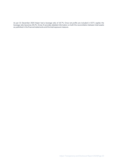As per 31 December 2020 Adyen had a leverage ratio of 19.7%. Once net profits are included in CET1 capital, the leverage ratio becomes 26.2%. Annex III provides detailed information on both the reconciliation between total assets as published in the financial statements and the total exposure measure.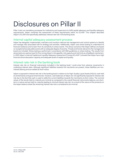# Disclosures on Pillar II

Pillar II sets out mandatory processes for institutions and supervisors to fulfill capital adequacy and liquidity adequacy requirements. Adyen combines the assessment of these requirements within its ICLAAP. This chapter describes Adyen's ICLAAP and specifically addresses interest rate risk in the banking book.

### Internal capital adequacy assessment process

Adyen has designed, implemented, maintains and monitors internal risk management and control systems to identify and manage risks associated with its strategy and activities. Additionally, Adyen uses stress testing to understand its financial resilience and to learn from its sensitivity to stress events. The stress scenarios that Adyen defines are based on exceptional but plausible events with an adequate degree of severity. Threats and trends relevant to the management board are included. Stress testing is performed in accordance with EBA guidelines on stress testing. The results from stress tests are used as input for fine-tuning Adyen's risk appetite, risk capacity and risk limits as a feedback mechanism. In 2020 Adyen's Internal Capital and Liquidity Adequacy Assessment Process (ICLAAP<sup>34</sup>) showed that Adyen has a high financial shock absorption capacity and adequate levels of capital and liquidity.

# Interest rate risk in the banking book

Interest rate risk on financial instruments included in the banking book<sup>35</sup> could arise from adverse movements in underlying interest rates. Although significant liabilities towards the merchants are present, these liabilities are noninterest bearing and are settled at short notice.

Adyen is exposed to interest rate risk in the banking book in relation to its High-Quality Liquid Assets (HQLA): cash held at central banks and government bonds. However, cash balances of Adyen are not significantly exposed to interest rate risk due to the fact that cash is used to settle the current liabilities towards the merchants at short notice. The nominal values of the bonds held-to-maturity are minimal as compared to the overall financial instruments balance, are shortterm in nature and are held-to-maturity leading to minimal interest rate risk. As a result of the nature of the products on the Adyen balance sheet the remaining interest rate risk is considered to be minimal.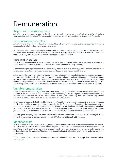# Remuneration

### Adyen's remuneration policy

Adyen's remuneration policy is rooted in the Adyen Formula and is in full compliance with all relevant international and local legislation and regulations. The remuneration policy of Adyen has been published on the company's website.

### Remuneration principles

Adyen's remuneration policy has the Adyen Formula at heart. The Adyen Formula consists of eight points on how we are successful to create long-term value for our merchants.

By retaining the remuneration principles set out in our remuneration policy, the remuneration is consistent with and promotes sound and effective risk management. As such, these remuneration principles also allow remuneration to contribute to long-term value creation and to discourage improper risk-taking.

#### Remuneration package

The size of a remuneration package is based on the scope of responsibilities, the employee's experience and performance, and the local market circumstances, which may differ from country to country.

A remuneration package may consist of a base salary, share-related remuneration, pension entitlements and other emoluments. For certain employees a remuneration package may also include variable income.

Adyen has the right pay mix in place to mitigate short-term orientation and contribute to the long-term performance of the company. This is specifically achieved by awarding staff members, including the Management Board, with (longterm) share-related remuneration. The purpose of the share-based payments is to put staff members in a financial ownership-like position where shares are concerned and for them to obtain an economic interest in the pursuit of Adyen's long-term objectives such as sustainable growth, development, profitability and financial success of Adyen.

# Variable remuneration

Adyen observes the laws and regulations applicable to the company, which includes the remuneration regulations as provided in the Act on Remuneration policy Financial Undertakings (*Wet beloningsbeleid financiële ondernemingen*) and the EBA Guidelines on Sound Remuneration Policies (EBA Guidelines) (the Remuneration Regulations). Adyen's remuneration policy is in line with the Remuneration Regulations.

Employees may be rewarded with variable remuneration. Variable remuneration, if awarded, will at all times not exceed the fixed to variable remuneration ratios as provided in the Remuneration Regulations. In accordance with the Remuneration Regulations, variable remuneration will be subject to hold back and claw back instruments. As no variable remuneration has been awarded to the members of the Management Board or the Supervisory Board in the financial year 2020, no variable remuneration has been adjusted or clawed back in accordance with these instruments.

The total global company-wide amount of variable remuneration awarded over 2020 was EUR 17.1 million (2019: EUR 16.7 million) compared to total staff expenses of EUR 180.0 million (2019: EUR 122.4 million).

# Identified staff

In 2020 there were 21 employees (2019: 21) identified as "Identified Staff" (staff that is considered to have a material impact on the risk profile of Adyen). None of these employees were entitled to a performance related bonus in 2020. As such, Adyen avoids short-term incentives and focuses for all staff that is considered to have a material impact on our business, including the Managing Directors, thereby contributing to the long-term performance and value creation of the company.

Table 11 provides an overview of remuneration awarded to identified staff over 2020, split into fixed and variable remuneration.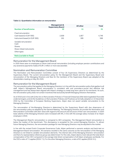#### **Table 11: Quantitative information on remuneration**

|                                  | Management &<br><b>Supervisory Board</b> | All other | <b>Total</b> |
|----------------------------------|------------------------------------------|-----------|--------------|
| <b>Number of beneficiaries</b>   | 10                                       | 11        | 21           |
| Fixed remuneration               |                                          |           |              |
| Cash based (in EUR '000)         | 2,939                                    | 1,807     | 4,746        |
| Instrument based (in EUR '000)   | 191                                      | 395       | 586          |
| Variable remuneration<br>Cash    |                                          |           |              |
| Shares                           |                                          |           |              |
| Share-linked instruments         |                                          |           |              |
| Other types                      |                                          |           |              |
| <b>Ratio (variable to fixed)</b> |                                          | ۰         |              |

#### Remuneration for the Management Board

In 2020 there were no employees to whom total annual remuneration (including employer pension contributions and any severance payments made) of EUR 1 million or more was awarded.

#### Nomination and Remuneration Committee

The Nomination and Remuneration Committee consist of four (4) Supervisory Directors as determined by the Supervisory Board. The current remuneration policy for the Management Board and the Supervisory Board and remuneration of the Managing Directors and fees for the members of the Supervisory Board was adopted at the shareholders meeting on May 26, 2020.

#### Remuneration for the Management Board

The remuneration policy that applies to the Managing Directors is in line with the remuneration policy that applies to all staff. Adyen's Management Board remuneration is consistent with and promotes a sound and effective risk management and has always been aligned with Adyen's strategy to create long-term value for its merchants. As such, the remuneration policy does not contain incentives that exclusively benefit Managing Directors themselves.

As of 2018 and in line with (i) the Act on Remuneration Policies in Financial Enterprises (*Wet beloningsbeleid financiële ondernemingen*), and (ii) the Guidelines on Remuneration Policies and Practices as formally adopted on 10 December 2010 by the Committee of European Banking Supervisors, Adyen does not award variable remuneration to the Managing Directors.

The remuneration of the Managing Directors is determined by the Supervisory Board with due observance of the remuneration policy as adopted by the General Meeting. The Managing Directors do provide the Nomination and Remuneration Committee with their views with regard to the amount and structure of their own remuneration. In 2020 base salaries of the Managing Directors were increased with 8%, in line with the average salary increase of an Adyen employee in 2019.

The Management Board's remuneration is compared to AEX companies. The Management Board remuneration is below the median of the benchmark. This discrepancy is accepted for the current Managing Directors. To attract future Managing Directors, the remuneration package for new Managing Directors may be adjusted to the market.

In line with the revised Dutch Corporate Governance Code, Adyen performed a scenario analysis and back-test on Management Board remuneration. All scenarios resulted in the same outcome as the remuneration of the Managing Directors is not linked to variable remuneration elements. The internal ratio of the Managing Directors' remuneration and that of a representative reference group was determined. For this ratio, Adyen deems most relevant the total direct compensation of the CEO compared to the average total direct compensation of all Adyen employees worldwide. For the CEO a ratio of 7:1 applies (2019: 7:1). For the other Managing Directors, a ratio of 6:1 applies (2019: 5:1).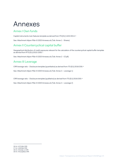# Annexes

# Annex I Own funds

Capital instruments main features template as derived from ITS (EU) 1423/2013.36

See: Attachment *Adyen Pillar III 2020 Annexes.xls* (Tab: Annex 1 - Shares)

# Annex II Countercyclical capital buffer

Geographical distribution of credit exposures relevant for the calculation of the countercyclical capital buffer template as derived from RTS (EU) 2015/1555.37

See: Attachment *Adyen Pillar III 2020 Annexes.xls* (Tab: Annex 2 - CCyB)

# Annex III Leverage

CRR leverage ratio – Disclosure template (quantitative) as derived from ITS (EU) 2016/200.38

See: Attachment *Adyen Pillar III 2020 Annexes.xls* (Tab: Annex 3 – Leverage 1)

CRR leverage ratio – Disclosure template (qualitative) as derived from ITS (EU) 2016/200.39

See: Attachment *Adyen Pillar III 2020 Annexes.xls* (Tab: Annex 3 – Leverage 2)

<sup>36</sup> Art. 437(1)(b) CRR.

 $37$  Art.  $440(1)(a)$  CRR. 38 Art.  $451(1)(a-c)$  CRR.

<sup>39</sup> Art. 451(1)(d&e) CRR.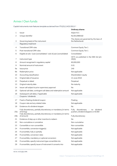# Annex I Own funds

Capital instruments main features template as derived from ITS (EU) 1423/2013.40

|                 |                                                                                   | <b>Ordinary shares</b>                                                         |
|-----------------|-----------------------------------------------------------------------------------|--------------------------------------------------------------------------------|
| 1               | Issuer                                                                            | Adyen N.V.                                                                     |
| 2               | Unique identifier                                                                 | NL0012969182                                                                   |
| 3               | Governing law(s) of the instrument                                                | The shares are governed by the laws of<br>the Netherlands                      |
|                 | Regulatory treatment                                                              |                                                                                |
| 4               | <b>Transitional CRR rules</b>                                                     | Common Equity Tier 1                                                           |
| 5               | Post-transitional CRR rules                                                       | Common Equity Tier 1                                                           |
| 6               | Eligible at solo / (sub-)consolidated / solo & (sub-)consolidated                 | Consolidated                                                                   |
| 7               | Instrument type                                                                   | CET1 as published in the EBA list (art.<br>26(3)                               |
| 8               | Amount recognized in regulatory capital                                           | 80,000,000                                                                     |
| 9               | Nominal amount of instrument                                                      | 0.01                                                                           |
| 9a              | Issue price                                                                       | 240                                                                            |
| 9b              | Redemption price                                                                  | Not applicable                                                                 |
| 10              | Accounting classification                                                         | Shareholders' equity                                                           |
| 11              | Original date of issuance                                                         | 13 June 2018                                                                   |
| 12              | Perpetual or dated                                                                | Perpetual                                                                      |
| 13              | Original maturity date                                                            | No maturity                                                                    |
| 14              | Issuer call subject to prior supervisory approval                                 | No                                                                             |
| 15              | Optional call date, contingent call dates and redemption amount                   | Not applicable                                                                 |
| 16              | Subsequent call dates, if applicable<br>Coupons / dividends                       | Not applicable                                                                 |
| 17              | Fixed or floating dividend/coupon                                                 | Floating                                                                       |
| 18              | Coupon rate and any related index                                                 | Not applicable                                                                 |
| 19              | Existence of a dividend stopper                                                   | No                                                                             |
| 20a             | Fully discretionary, partially discretionary or mandatory (in terms<br>of timing) | discretionary<br>Fully<br>dividend<br>no<br>pushers, dividend stoppers or ACSM |
| 20 <sub>b</sub> | Fully discretionary, partially discretionary or mandatory (in terms<br>of amount) | Fully discretionary                                                            |
| 21              | Existence of step up or other incentive to redeem                                 | No                                                                             |
| 22              | Non-cumulative or cumulative                                                      | Non-cumulative                                                                 |
| 23              | Convertible or non-convertible                                                    | Non-convertible                                                                |
| 24              | If convertible, conversion trigger(s)                                             | Not applicable                                                                 |
| 25              | If convertible, fully or partially                                                | Not applicable                                                                 |
| 26              | If convertible, conversion rates                                                  | Not applicable                                                                 |
| 27              | If convertible, mandatory or optional conversion                                  | Not applicable                                                                 |
| 28              | If convertible, specify instrument type convertible into                          | Not applicable                                                                 |
| 29              | If convertible, specify issuer of instrument it converts into                     | Not applicable                                                                 |

<sup>40</sup> Art. 437(1)(b) CRR.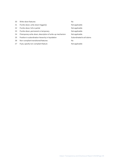| 30 | Write-down features                                        | No                         |
|----|------------------------------------------------------------|----------------------------|
|    |                                                            |                            |
| 31 | If write-down, write-down trigger(s)                       | Not applicable             |
| 32 | If write-down, full or partial                             | Not applicable             |
| 33 | If write-down, permanent or temporary                      | Not applicable             |
| 34 | If temporary write-down, description of write-up mechanism | Not applicable             |
| 35 | Position in subordination hierarchy in liquidation         | Subordinated to all claims |
| 36 | Non-compliant transitioned features                        | No                         |
| 37 | If yes, specify non-compliant feature                      | Not applicable             |
|    |                                                            |                            |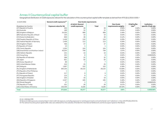# Annex II Countercyclical capital buffer

Geographical distribution of credit exposures relevant for the calculation of the countercyclical capital buffer template as derived from RTS (EU) 2015/1555.<sup>41</sup>

| In EUR ('000)                                     | General credit exposures <sup>42</sup> | Own funds requirements |                    |                               |                             |                             |
|---------------------------------------------------|----------------------------------------|------------------------|--------------------|-------------------------------|-----------------------------|-----------------------------|
|                                                   |                                        | of which: General      |                    | Own funds                     | <b>CCyB buffer</b>          | Institution-                |
| Breakdown by Country:<br>(AT) Republic of Austria | <b>Exposure value for SA</b><br>453    | credit exposures<br>36 | <b>Total</b><br>36 | requirements weights<br>0.09% | rate <sup>43</sup><br>0.00% | specific CCyB rate<br>0.00% |
|                                                   | 188                                    | 15                     | 15                 | 0.04%                         | 0.00%                       |                             |
| (AU) Australia                                    |                                        |                        |                    |                               |                             | 0.00%                       |
| (BE) Kingdom of Belgium                           | 24,325                                 | 999                    | 999                | 2.49%                         | 0.00%                       | 0.00%                       |
| (BR) Federative Republic of Brazil                | 125                                    | 10                     | 10                 | 0.03%                         | 0.00%                       | 0.00%                       |
| (CH) Swiss Confederation                          | 606                                    | 48                     | 48                 | 0.12%                         | 0.00%                       | 0.00%                       |
| (CN) People's Republic of China                   | 1,448                                  | 116                    | 116                | 0.29%                         | 0.00%                       | 0.00%                       |
| (DE) Federal Republic of Germany                  | 1,408                                  | 113                    | 113                | 0.28%                         | 0.00%                       | 0.00%                       |
| (ES) Kingdom of Spain                             | 458                                    | 37                     | 37                 | 0.09%                         | 0.00%                       | 0.00%                       |
| (FI) Republic of Finland                          | 13                                     | 1                      | 1                  | 0.00%                         | 0.00%                       | 0.00%                       |
| (FR) French Republic                              | 1,303                                  | 104                    | 104                | 0.26%                         | 0.00%                       | 0.00%                       |
| (GB) Great Britain and Northern Ireland           | 44,254                                 | 749                    | 749                | 1.87%                         | 0.00%                       | 0.00%                       |
| (GR) Hellenic Republic                            | 131                                    | 10                     | 10                 | 0.03%                         | 0.00%                       | 0.00%                       |
| (HK) Hong Kong                                    | 101                                    | 8                      | 8                  | 0.02%                         | 1.00%                       | 0.000202%                   |
| (ID) Republic of Indonesia                        | 398                                    | 32                     | 32                 | 0.08%                         | 0.00%                       | 0.00%                       |
| (JP) Japan                                        | 621                                    | 50                     | 50                 | 0.12%                         | 0.00%                       | 0.00%                       |
| (KR) Korea, Republic of                           | 89                                     | 7                      | 7                  | 0.02%                         | 0.00%                       | 0.00%                       |
| (MX) United Mexican States                        | 315                                    | 25                     | 25                 | 0.06%                         | 0.00%                       | 0.00%                       |
| (MY) Malaysia                                     | 1,897                                  | 152                    | 152                | 0.38%                         | 0.00%                       | 0.00%                       |
| (NL) Kingdom of Netherlands                       | 364,150                                | 29,132                 | 29,132             | 72.69%                        | 0.00%                       | 0.00%                       |
| (PH) Republic of the Phillipines                  |                                        |                        |                    | 0.00%                         | 0.00%                       | 0.00%                       |
| (PL) Republic of Poland                           | 117                                    | 9                      | 9                  | 0.02%                         | 0.00%                       | 0.00%                       |
| (PT) Portuguese Republic                          | 115                                    | 9                      | 9                  | 0.02%                         | 0.00%                       | 0.00%                       |
| (SE) Kingdom of Sweden                            | 225                                    | 18                     | 18                 | 0.05%                         | 0.00%                       | 0.00%                       |
| (SG) Republic of Singapore                        | 2,307                                  | 185                    | 185                | 0.46%                         | 0.00%                       | 0.00%                       |
| (SK) Slovak Repuplik                              | 17                                     | $\mathbf{1}$           |                    | 0.00%                         | 1.00%                       | 0.000034%                   |
| (TR) Republic of Turkey                           | 331                                    | 26                     | 26                 | 0.07%                         | 0.00%                       | 0.00%                       |
| (US) United States of America                     | 130,436                                | 8,185                  | 8,185              | 20.42%                        | 0.00%                       | 0.00%                       |
| <b>Total</b>                                      | 575,832                                | 40,077                 | 40,077             | 100%                          |                             | 0.000236%                   |

í

42 General credit exposures comprise Adyen's total credit risk exposure, excluding exposures to 'central governments and central banks' and 'institutions', in line with RTS (EU) 2013/15.

43 The national Countercyclical capital buffer rates were obtained from the websites of the Bank for International Settlements and the European Systemic Risk Board.

<sup>41</sup> Art. 440(1)(a) CRR.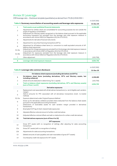# Annex III Leverage

CRR leverage ratio – Disclosure template (quantitative) as derived from ITS (EU) 2016/200.44.

|         |                                                                                                                                                                                                                                | In EUR ('000) |
|---------|--------------------------------------------------------------------------------------------------------------------------------------------------------------------------------------------------------------------------------|---------------|
|         | Table A: Summary reconciliation of accounting assets and leverage ratio exposures                                                                                                                                              | 31-Dec-20     |
| 1       | Total assets as per published financial statements                                                                                                                                                                             | 4,158,460     |
| 2       | Adjustment for entities which are consolidated for accounting purposes but are outside the<br>scope of regulatory consolidation<br>(Adjustment for fiduciary assets recognized on the balance sheet pursuant to the applicable |               |
| 3       | accounting framework but excluded from the leverage ratio total exposure measure in<br>accordance with Article 429(13) of Regulation (EU) No 575/2013)                                                                         |               |
| 4       | Adjustments for derivative financial instruments                                                                                                                                                                               |               |
| 5       | Adjustment for securities financing transactions (SFTs)                                                                                                                                                                        |               |
| 6       | Adjustment for off-balance sheet items (i.e. conversion to credit equivalent amounts of off-<br>balance sheet exposures)                                                                                                       |               |
| EU-6a   | (Adjustment for intragroup exposures excluded from the leverage ratio total exposure measure<br>in accordance with Article 429(7) of Regulation (EU) No 575/2013)                                                              |               |
| $EU-6b$ | (Adjustment for exposures excluded from the leverage ratio total exposure measure in<br>accordance with Article 429(14) of Regulation (EU) No 575/2013)                                                                        |               |
| 7       | Other adjustment                                                                                                                                                                                                               | (103, 758)    |
| 8       | Leverage ratio total exposure measure                                                                                                                                                                                          | 4,054,702     |

#### *In EUR ('000)*

|                 | Table B: Leverage ratio common disclosure                                                                                                    | 31-Dec-20  |
|-----------------|----------------------------------------------------------------------------------------------------------------------------------------------|------------|
|                 | On-balance sheet exposures (excluding derivatives and SFTs)                                                                                  |            |
| 1               | On-balance sheet items (excluding derivatives, SFTs and fiduciary assets, but<br>including collateral)                                       | 4,158,460  |
| $\overline{c}$  | (Asset amounts deducted in determining Tier 1 capital)                                                                                       | (103, 758) |
| 3               | Total on-balance sheet exposures (excluding derivatives, SFTs and fiduciary assets)<br>(sum of lines 1 and 2)                                | 4,054,702  |
|                 | Derivative exposures                                                                                                                         |            |
| 4               | Replacement cost associated with all derivatives transactions (i.e. net of eligible cash variation<br>margin)                                |            |
| 5               | Add-on amounts for PFE associated with all derivatives transactions (mark- to-market<br>method)                                              |            |
| EU-5a           | Exposure determined under Original Exposure Method                                                                                           |            |
| 6               | Gross-up for derivatives collateral provided where deducted from the balance sheet assets<br>pursuant to the applicable accounting framework |            |
| $\overline{7}$  | (Deductions of receivables assets for cash variation margin provided in derivatives<br>transactions)                                         |            |
| 8               | (Exempted CCP leg of client-cleared trade exposures)                                                                                         |            |
| 9               | Adjusted effective notional amount of written credit derivatives                                                                             |            |
| 10              | (Adjusted effective notional offsets and add-on deductions for written credit derivatives)                                                   |            |
| 11              | Total derivatives exposures (sum of lines 4 to 10)                                                                                           |            |
|                 | <b>SFT</b> exposures                                                                                                                         |            |
| 12              | Gross SFT assets (with no recognition of netting), after adjusting for sales accounting<br>transactions                                      |            |
| 12a             | Gross SFT assets (with no recognition of netting)                                                                                            |            |
| 12 <sub>b</sub> | Adjustments for sales accounting transactions                                                                                                |            |
| 13              | (Netted amounts of cash payables and cash receivables of gross SFT assets)                                                                   |            |
| 14              | Counterparty credit risk exposure for SFT assets                                                                                             |            |

<sup>44</sup> Art. 451(1)(a-c) CRR.

l